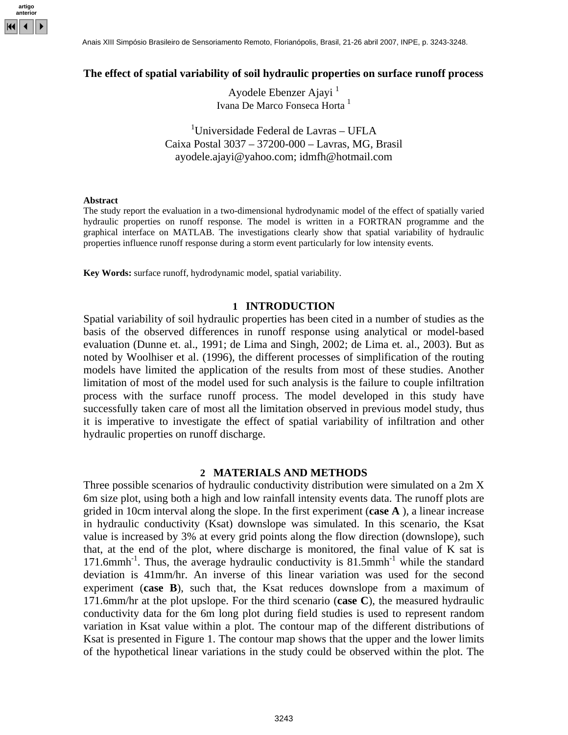

### **The effect of spatial variability of soil hydraulic properties on surface runoff process**

Ayodele Ebenzer Ajayi<sup>1</sup> Ivana De Marco Fonseca Horta<sup>1</sup>

<sup>1</sup>Universidade Federal de Lavras - UFLA Caixa Postal 3037 – 37200-000 – Lavras, MG, Brasil [ayodele.ajayi@yahoo.com;](mailto:ayomail@???.com) idmfh@hotmail.com

#### **Abstract**

The study report the evaluation in a two-dimensional hydrodynamic model of the effect of spatially varied hydraulic properties on runoff response. The model is written in a FORTRAN programme and the graphical interface on MATLAB. The investigations clearly show that spatial variability of hydraulic properties influence runoff response during a storm event particularly for low intensity events.

**Key Words:** surface runoff, hydrodynamic model, spatial variability.

### **1 INTRODUCTION**

Spatial variability of soil hydraulic properties has been cited in a number of studies as the basis of the observed differences in runoff response using analytical or model-based evaluation (Dunne et. al., 1991; de Lima and Singh, 2002; de Lima et. al., 2003). But as noted by Woolhiser et al. (1996), the different processes of simplification of the routing models have limited the application of the results from most of these studies. Another limitation of most of the model used for such analysis is the failure to couple infiltration process with the surface runoff process. The model developed in this study have successfully taken care of most all the limitation observed in previous model study, thus it is imperative to investigate the effect of spatial variability of infiltration and other hydraulic properties on runoff discharge.

#### **2 MATERIALS AND METHODS**

Three possible scenarios of hydraulic conductivity distribution were simulated on a 2m X 6m size plot, using both a high and low rainfall intensity events data. The runoff plots are grided in 10cm interval along the slope. In the first experiment (**case A** ), a linear increase in hydraulic conductivity (Ksat) downslope was simulated. In this scenario, the Ksat value is increased by 3% at every grid points along the flow direction (downslope), such that, at the end of the plot, where discharge is monitored, the final value of K sat is 171.6mmh<sup>-1</sup>. Thus, the average hydraulic conductivity is  $81.5$ mmh<sup>-1</sup> while the standard deviation is 41mm/hr. An inverse of this linear variation was used for the second experiment (**case B**), such that, the Ksat reduces downslope from a maximum of 171.6mm/hr at the plot upslope. For the third scenario (**case C**), the measured hydraulic conductivity data for the 6m long plot during field studies is used to represent random variation in Ksat value within a plot. The contour map of the different distributions of Ksat is presented in Figure 1. The contour map shows that the upper and the lower limits of the hypothetical linear variations in the study could be observed within the plot. The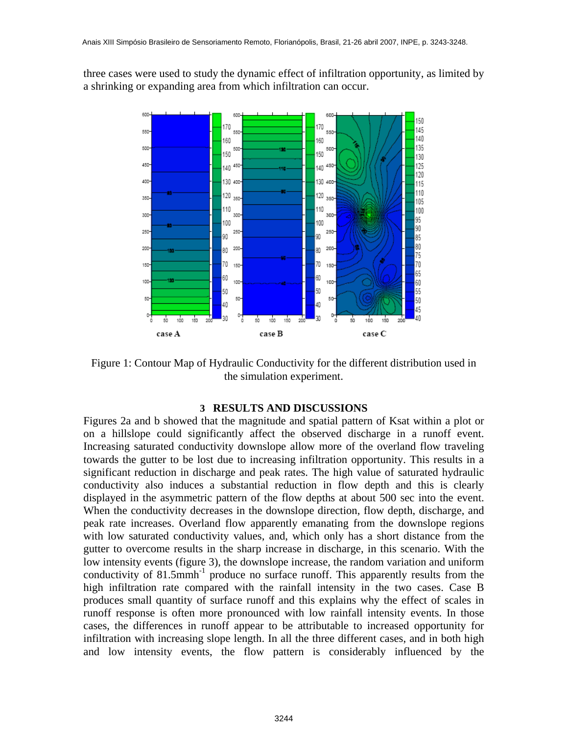three cases were used to study the dynamic effect of infiltration opportunity, as limited by a shrinking or expanding area from which infiltration can occur.



Figure 1: Contour Map of Hydraulic Conductivity for the different distribution used in the simulation experiment.

# **3 RESULTS AND DISCUSSIONS**

Figures 2a and b showed that the magnitude and spatial pattern of Ksat within a plot or on a hillslope could significantly affect the observed discharge in a runoff event. Increasing saturated conductivity downslope allow more of the overland flow traveling towards the gutter to be lost due to increasing infiltration opportunity. This results in a significant reduction in discharge and peak rates. The high value of saturated hydraulic conductivity also induces a substantial reduction in flow depth and this is clearly displayed in the asymmetric pattern of the flow depths at about 500 sec into the event. When the conductivity decreases in the downslope direction, flow depth, discharge, and peak rate increases. Overland flow apparently emanating from the downslope regions with low saturated conductivity values, and, which only has a short distance from the gutter to overcome results in the sharp increase in discharge, in this scenario. With the low intensity events (figure 3), the downslope increase, the random variation and uniform conductivity of  $81.5$ mmh<sup>-1</sup> produce no surface runoff. This apparently results from the high infiltration rate compared with the rainfall intensity in the two cases. Case B produces small quantity of surface runoff and this explains why the effect of scales in runoff response is often more pronounced with low rainfall intensity events. In those cases, the differences in runoff appear to be attributable to increased opportunity for infiltration with increasing slope length. In all the three different cases, and in both high and low intensity events, the flow pattern is considerably influenced by the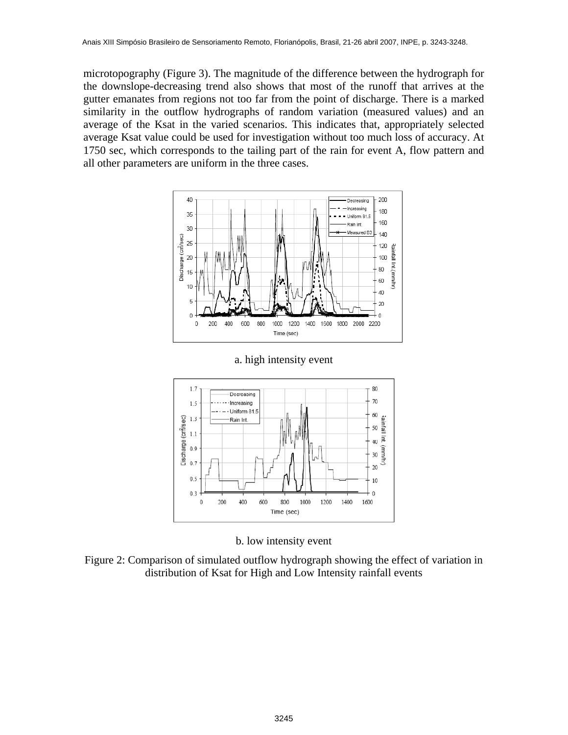microtopography (Figure 3). The magnitude of the difference between the hydrograph for the downslope-decreasing trend also shows that most of the runoff that arrives at the gutter emanates from regions not too far from the point of discharge. There is a marked similarity in the outflow hydrographs of random variation (measured values) and an average of the Ksat in the varied scenarios. This indicates that, appropriately selected average Ksat value could be used for investigation without too much loss of accuracy. At 1750 sec, which corresponds to the tailing part of the rain for event A, flow pattern and all other parameters are uniform in the three cases.





a. high intensity event

b. low intensity event

Figure 2: Comparison of simulated outflow hydrograph showing the effect of variation in distribution of Ksat for High and Low Intensity rainfall events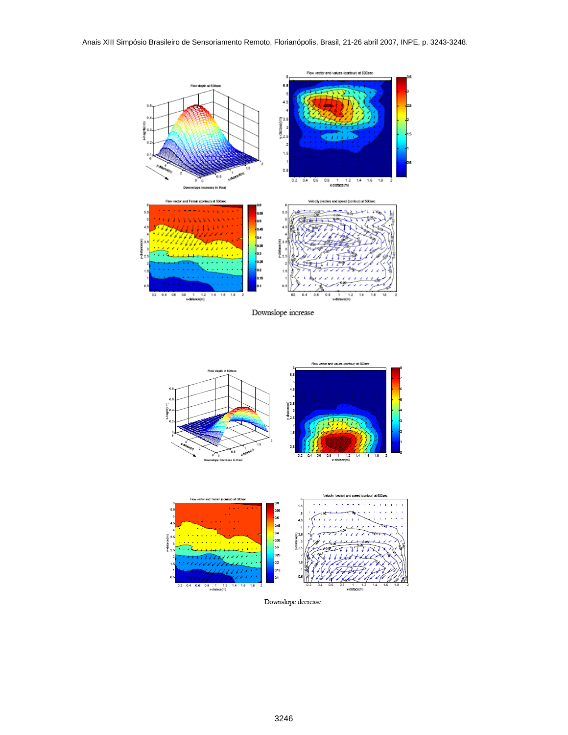

Downslope increase





 $\label{lem:convergence} \text{Downslope decrease}$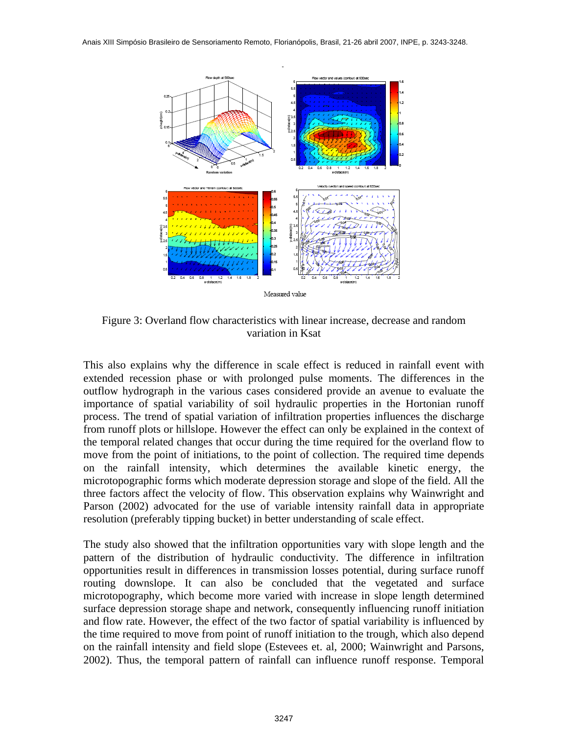

Figure 3: Overland flow characteristics with linear increase, decrease and random variation in Ksat

This also explains why the difference in scale effect is reduced in rainfall event with extended recession phase or with prolonged pulse moments. The differences in the outflow hydrograph in the various cases considered provide an avenue to evaluate the importance of spatial variability of soil hydraulic properties in the Hortonian runoff process. The trend of spatial variation of infiltration properties influences the discharge from runoff plots or hillslope. However the effect can only be explained in the context of the temporal related changes that occur during the time required for the overland flow to move from the point of initiations, to the point of collection. The required time depends on the rainfall intensity, which determines the available kinetic energy, the microtopographic forms which moderate depression storage and slope of the field. All the three factors affect the velocity of flow. This observation explains why Wainwright and Parson (2002) advocated for the use of variable intensity rainfall data in appropriate resolution (preferably tipping bucket) in better understanding of scale effect.

The study also showed that the infiltration opportunities vary with slope length and the pattern of the distribution of hydraulic conductivity. The difference in infiltration opportunities result in differences in transmission losses potential, during surface runoff routing downslope. It can also be concluded that the vegetated and surface microtopography, which become more varied with increase in slope length determined surface depression storage shape and network, consequently influencing runoff initiation and flow rate. However, the effect of the two factor of spatial variability is influenced by the time required to move from point of runoff initiation to the trough, which also depend on the rainfall intensity and field slope (Estevees et. al, 2000; Wainwright and Parsons, 2002). Thus, the temporal pattern of rainfall can influence runoff response. Temporal